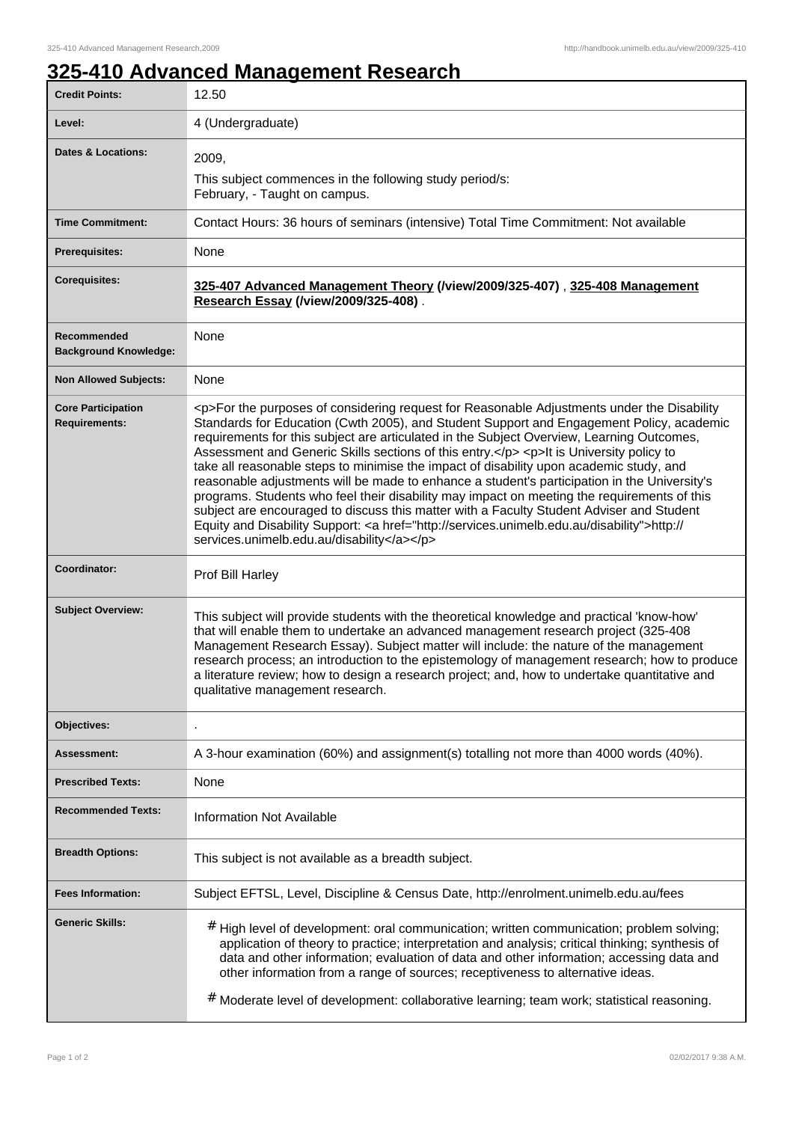## **325-410 Advanced Management Research**

| <b>Credit Points:</b>                             | 12.50                                                                                                                                                                                                                                                                                                                                                                                                                                                                                                                                                                                                                                                                                                                                                                                                                                                                                                                        |
|---------------------------------------------------|------------------------------------------------------------------------------------------------------------------------------------------------------------------------------------------------------------------------------------------------------------------------------------------------------------------------------------------------------------------------------------------------------------------------------------------------------------------------------------------------------------------------------------------------------------------------------------------------------------------------------------------------------------------------------------------------------------------------------------------------------------------------------------------------------------------------------------------------------------------------------------------------------------------------------|
| Level:                                            | 4 (Undergraduate)                                                                                                                                                                                                                                                                                                                                                                                                                                                                                                                                                                                                                                                                                                                                                                                                                                                                                                            |
| <b>Dates &amp; Locations:</b>                     | 2009.<br>This subject commences in the following study period/s:<br>February, - Taught on campus.                                                                                                                                                                                                                                                                                                                                                                                                                                                                                                                                                                                                                                                                                                                                                                                                                            |
| <b>Time Commitment:</b>                           | Contact Hours: 36 hours of seminars (intensive) Total Time Commitment: Not available                                                                                                                                                                                                                                                                                                                                                                                                                                                                                                                                                                                                                                                                                                                                                                                                                                         |
| <b>Prerequisites:</b>                             | None                                                                                                                                                                                                                                                                                                                                                                                                                                                                                                                                                                                                                                                                                                                                                                                                                                                                                                                         |
| <b>Corequisites:</b>                              | 325-407 Advanced Management Theory (/view/2009/325-407), 325-408 Management<br>Research Essay (/view/2009/325-408).                                                                                                                                                                                                                                                                                                                                                                                                                                                                                                                                                                                                                                                                                                                                                                                                          |
| Recommended<br><b>Background Knowledge:</b>       | None                                                                                                                                                                                                                                                                                                                                                                                                                                                                                                                                                                                                                                                                                                                                                                                                                                                                                                                         |
| <b>Non Allowed Subjects:</b>                      | None                                                                                                                                                                                                                                                                                                                                                                                                                                                                                                                                                                                                                                                                                                                                                                                                                                                                                                                         |
| <b>Core Participation</b><br><b>Requirements:</b> | <p>For the purposes of considering request for Reasonable Adjustments under the Disability<br/>Standards for Education (Cwth 2005), and Student Support and Engagement Policy, academic<br/>requirements for this subject are articulated in the Subject Overview, Learning Outcomes,<br/>Assessment and Generic Skills sections of this entry.</p> <p>lt is University policy to<br/>take all reasonable steps to minimise the impact of disability upon academic study, and<br/>reasonable adjustments will be made to enhance a student's participation in the University's<br/>programs. Students who feel their disability may impact on meeting the requirements of this<br/>subject are encouraged to discuss this matter with a Faculty Student Adviser and Student<br/>Equity and Disability Support: &lt; a href="http://services.unimelb.edu.au/disability"&gt;http://<br/>services.unimelb.edu.au/disability</p> |
| Coordinator:                                      | Prof Bill Harley                                                                                                                                                                                                                                                                                                                                                                                                                                                                                                                                                                                                                                                                                                                                                                                                                                                                                                             |
| <b>Subject Overview:</b>                          | This subject will provide students with the theoretical knowledge and practical 'know-how'<br>that will enable them to undertake an advanced management research project (325-408<br>Management Research Essay). Subject matter will include: the nature of the management<br>research process; an introduction to the epistemology of management research; how to produce<br>a literature review; how to design a research project; and, how to undertake quantitative and<br>qualitative management research.                                                                                                                                                                                                                                                                                                                                                                                                              |
| Objectives:                                       |                                                                                                                                                                                                                                                                                                                                                                                                                                                                                                                                                                                                                                                                                                                                                                                                                                                                                                                              |
| Assessment:                                       | A 3-hour examination (60%) and assignment(s) totalling not more than 4000 words (40%).                                                                                                                                                                                                                                                                                                                                                                                                                                                                                                                                                                                                                                                                                                                                                                                                                                       |
| <b>Prescribed Texts:</b>                          | None                                                                                                                                                                                                                                                                                                                                                                                                                                                                                                                                                                                                                                                                                                                                                                                                                                                                                                                         |
| <b>Recommended Texts:</b>                         | <b>Information Not Available</b>                                                                                                                                                                                                                                                                                                                                                                                                                                                                                                                                                                                                                                                                                                                                                                                                                                                                                             |
| <b>Breadth Options:</b>                           | This subject is not available as a breadth subject.                                                                                                                                                                                                                                                                                                                                                                                                                                                                                                                                                                                                                                                                                                                                                                                                                                                                          |
| <b>Fees Information:</b>                          | Subject EFTSL, Level, Discipline & Census Date, http://enrolment.unimelb.edu.au/fees                                                                                                                                                                                                                                                                                                                                                                                                                                                                                                                                                                                                                                                                                                                                                                                                                                         |
| <b>Generic Skills:</b>                            | # High level of development: oral communication; written communication; problem solving;<br>application of theory to practice; interpretation and analysis; critical thinking; synthesis of<br>data and other information; evaluation of data and other information; accessing data and<br>other information from a range of sources; receptiveness to alternative ideas.<br># Moderate level of development: collaborative learning; team work; statistical reasoning.                                                                                                                                                                                                                                                                                                                                                                                                                                                      |